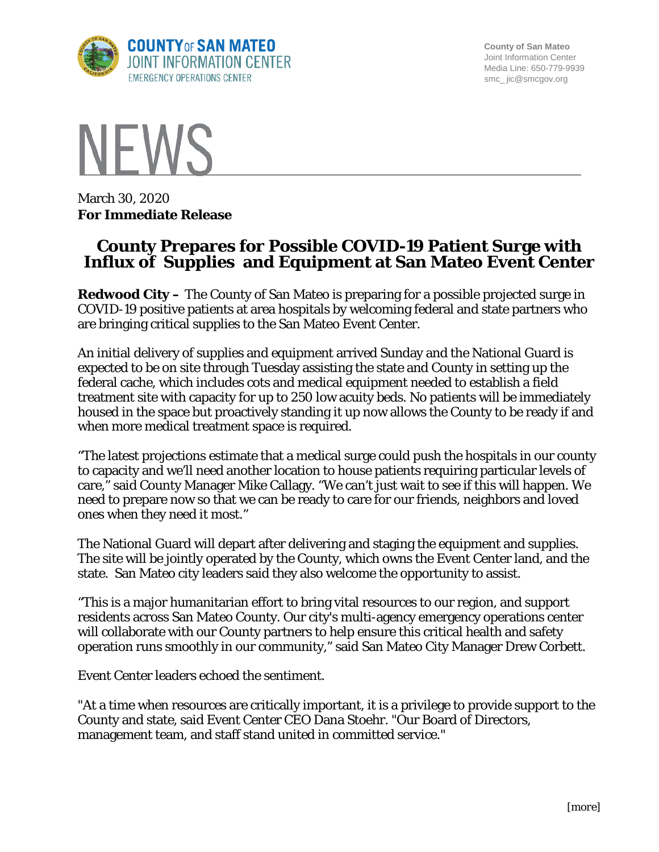

**County of San Mateo** Joint Information Center Media Line: 650-779-9939 smc\_ jic@smcgov.org



March 30, 2020 **For Immediate Release**

## **County Prepares for Possible COVID-19 Patient Surge with Influx of Supplies and Equipment at San Mateo Event Center**

**Redwood City –** The County of San Mateo is preparing for a possible projected surge in COVID-19 positive patients at area hospitals by welcoming federal and state partners who are bringing critical supplies to the San Mateo Event Center.

An initial delivery of supplies and equipment arrived Sunday and the National Guard is expected to be on site through Tuesday assisting the state and County in setting up the federal cache, which includes cots and medical equipment needed to establish a field treatment site with capacity for up to 250 low acuity beds. No patients will be immediately housed in the space but proactively standing it up now allows the County to be ready if and when more medical treatment space is required.

"The latest projections estimate that a medical surge could push the hospitals in our county to capacity and we'll need another location to house patients requiring particular levels of care," said County Manager Mike Callagy. "We can't just wait to see if this will happen. We need to prepare now so that we can be ready to care for our friends, neighbors and loved ones when they need it most."

The National Guard will depart after delivering and staging the equipment and supplies. The site will be jointly operated by the County, which owns the Event Center land, and the state. San Mateo city leaders said they also welcome the opportunity to assist.

"This is a major humanitarian effort to bring vital resources to our region, and support residents across San Mateo County. Our city's multi-agency emergency operations center will collaborate with our County partners to help ensure this critical health and safety operation runs smoothly in our community," said San Mateo City Manager Drew Corbett.

Event Center leaders echoed the sentiment.

"At a time when resources are critically important, it is a privilege to provide support to the County and state, said Event Center CEO Dana Stoehr. "Our Board of Directors, management team, and staff stand united in committed service."